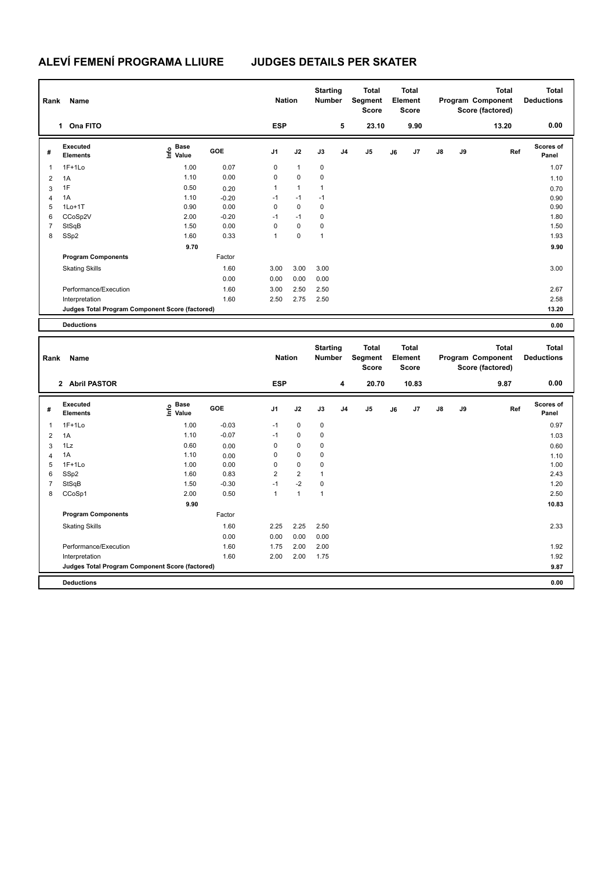| Rank<br>Name   |                                                 |                                  |            |                | <b>Nation</b> |              | <b>Starting</b><br><b>Number</b> | <b>Total</b><br>Segment<br><b>Score</b> |    | <b>Total</b><br>Element<br><b>Score</b> |               |    | Total<br>Program Component<br>Score (factored) | <b>Total</b><br><b>Deductions</b> |
|----------------|-------------------------------------------------|----------------------------------|------------|----------------|---------------|--------------|----------------------------------|-----------------------------------------|----|-----------------------------------------|---------------|----|------------------------------------------------|-----------------------------------|
|                | 1 Ona FITO                                      |                                  |            | <b>ESP</b>     |               |              | 5                                | 23.10                                   |    | 9.90                                    |               |    | 13.20                                          | 0.00                              |
| #              | Executed<br><b>Elements</b>                     | <b>Base</b><br>e Base<br>⊆ Value | <b>GOE</b> | J <sub>1</sub> | J2            | J3           | J <sub>4</sub>                   | J5                                      | J6 | J7                                      | $\mathsf{J}8$ | J9 | Ref                                            | <b>Scores of</b><br>Panel         |
| $\overline{1}$ | $1F+1Lo$                                        | 1.00                             | 0.07       | 0              | $\mathbf{1}$  | 0            |                                  |                                         |    |                                         |               |    |                                                | 1.07                              |
| $\overline{2}$ | 1A                                              | 1.10                             | 0.00       | 0              | $\mathbf 0$   | 0            |                                  |                                         |    |                                         |               |    |                                                | 1.10                              |
| 3              | 1F                                              | 0.50                             | 0.20       | 1              | $\mathbf{1}$  | 1            |                                  |                                         |    |                                         |               |    |                                                | 0.70                              |
| $\overline{4}$ | 1A                                              | 1.10                             | $-0.20$    | $-1$           | $-1$          | $-1$         |                                  |                                         |    |                                         |               |    |                                                | 0.90                              |
| 5              | $1Lo+1T$                                        | 0.90                             | 0.00       | 0              | $\mathbf 0$   | 0            |                                  |                                         |    |                                         |               |    |                                                | 0.90                              |
| 6              | CCoSp2V                                         | 2.00                             | $-0.20$    | $-1$           | $-1$          | 0            |                                  |                                         |    |                                         |               |    |                                                | 1.80                              |
| 7              | StSqB                                           | 1.50                             | 0.00       | 0              | $\mathbf 0$   | 0            |                                  |                                         |    |                                         |               |    |                                                | 1.50                              |
| 8              | SSp2                                            | 1.60                             | 0.33       | 1              | $\mathbf 0$   | $\mathbf{1}$ |                                  |                                         |    |                                         |               |    |                                                | 1.93                              |
|                |                                                 | 9.70                             |            |                |               |              |                                  |                                         |    |                                         |               |    |                                                | 9.90                              |
|                | <b>Program Components</b>                       |                                  | Factor     |                |               |              |                                  |                                         |    |                                         |               |    |                                                |                                   |
|                | <b>Skating Skills</b>                           |                                  | 1.60       | 3.00           | 3.00          | 3.00         |                                  |                                         |    |                                         |               |    |                                                | 3.00                              |
|                |                                                 |                                  | 0.00       | 0.00           | 0.00          | 0.00         |                                  |                                         |    |                                         |               |    |                                                |                                   |
|                | Performance/Execution                           |                                  | 1.60       | 3.00           | 2.50          | 2.50         |                                  |                                         |    |                                         |               |    |                                                | 2.67                              |
|                | Interpretation                                  |                                  | 1.60       | 2.50           | 2.75          | 2.50         |                                  |                                         |    |                                         |               |    |                                                | 2.58                              |
|                | Judges Total Program Component Score (factored) |                                  |            |                |               |              |                                  |                                         |    |                                         |               |    |                                                | 13.20                             |
|                | <b>Deductions</b>                               |                                  |            |                |               |              |                                  |                                         |    |                                         |               |    |                                                | 0.00                              |

|   | Name<br>Rank                                    |                                             |            |                | <b>Nation</b>           |              | <b>Starting</b><br><b>Number</b> | <b>Total</b><br>Segment<br><b>Score</b> | <b>Total</b><br>Element<br><b>Score</b> |       |               |    | <b>Total</b><br>Program Component<br>Score (factored) | <b>Total</b><br><b>Deductions</b> |
|---|-------------------------------------------------|---------------------------------------------|------------|----------------|-------------------------|--------------|----------------------------------|-----------------------------------------|-----------------------------------------|-------|---------------|----|-------------------------------------------------------|-----------------------------------|
|   | <b>Abril PASTOR</b><br>$\overline{2}$           |                                             |            | <b>ESP</b>     |                         |              | 4                                | 20.70                                   |                                         | 10.83 |               |    | 9.87                                                  | 0.00                              |
| # | Executed<br><b>Elements</b>                     | <b>Base</b><br>e <sup>Base</sup><br>⊆ Value | <b>GOE</b> | J <sub>1</sub> | J2                      | J3           | J <sub>4</sub>                   | J5                                      | J6                                      | J7    | $\mathsf{J}8$ | J9 | Ref                                                   | <b>Scores of</b><br>Panel         |
| 1 | $1F+1Lo$                                        | 1.00                                        | $-0.03$    | $-1$           | $\mathbf 0$             | $\mathbf 0$  |                                  |                                         |                                         |       |               |    |                                                       | 0.97                              |
| 2 | 1A                                              | 1.10                                        | $-0.07$    | $-1$           | $\mathbf 0$             | 0            |                                  |                                         |                                         |       |               |    |                                                       | 1.03                              |
| 3 | 1Lz                                             | 0.60                                        | 0.00       | 0              | 0                       | 0            |                                  |                                         |                                         |       |               |    |                                                       | 0.60                              |
| 4 | 1A                                              | 1.10                                        | 0.00       | 0              | $\mathbf 0$             | $\mathbf 0$  |                                  |                                         |                                         |       |               |    |                                                       | 1.10                              |
| 5 | $1F+1Lo$                                        | 1.00                                        | 0.00       | $\Omega$       | 0                       | $\mathbf 0$  |                                  |                                         |                                         |       |               |    |                                                       | 1.00                              |
| 6 | SSp2                                            | 1.60                                        | 0.83       | $\overline{2}$ | $\overline{\mathbf{c}}$ | $\mathbf{1}$ |                                  |                                         |                                         |       |               |    |                                                       | 2.43                              |
| 7 | StSqB                                           | 1.50                                        | $-0.30$    | $-1$           | $-2$                    | $\mathbf 0$  |                                  |                                         |                                         |       |               |    |                                                       | 1.20                              |
| 8 | CCoSp1                                          | 2.00                                        | 0.50       | $\mathbf{1}$   | $\mathbf{1}$            | $\mathbf{1}$ |                                  |                                         |                                         |       |               |    |                                                       | 2.50                              |
|   |                                                 | 9.90                                        |            |                |                         |              |                                  |                                         |                                         |       |               |    |                                                       | 10.83                             |
|   | <b>Program Components</b>                       |                                             | Factor     |                |                         |              |                                  |                                         |                                         |       |               |    |                                                       |                                   |
|   | <b>Skating Skills</b>                           |                                             | 1.60       | 2.25           | 2.25                    | 2.50         |                                  |                                         |                                         |       |               |    |                                                       | 2.33                              |
|   |                                                 |                                             | 0.00       | 0.00           | 0.00                    | 0.00         |                                  |                                         |                                         |       |               |    |                                                       |                                   |
|   | Performance/Execution                           |                                             | 1.60       | 1.75           | 2.00                    | 2.00         |                                  |                                         |                                         |       |               |    |                                                       | 1.92                              |
|   | Interpretation                                  |                                             | 1.60       | 2.00           | 2.00                    | 1.75         |                                  |                                         |                                         |       |               |    |                                                       | 1.92                              |
|   | Judges Total Program Component Score (factored) |                                             |            |                |                         |              |                                  |                                         |                                         |       |               |    |                                                       | 9.87                              |
|   | <b>Deductions</b>                               |                                             |            |                |                         |              |                                  |                                         |                                         |       |               |    |                                                       | 0.00                              |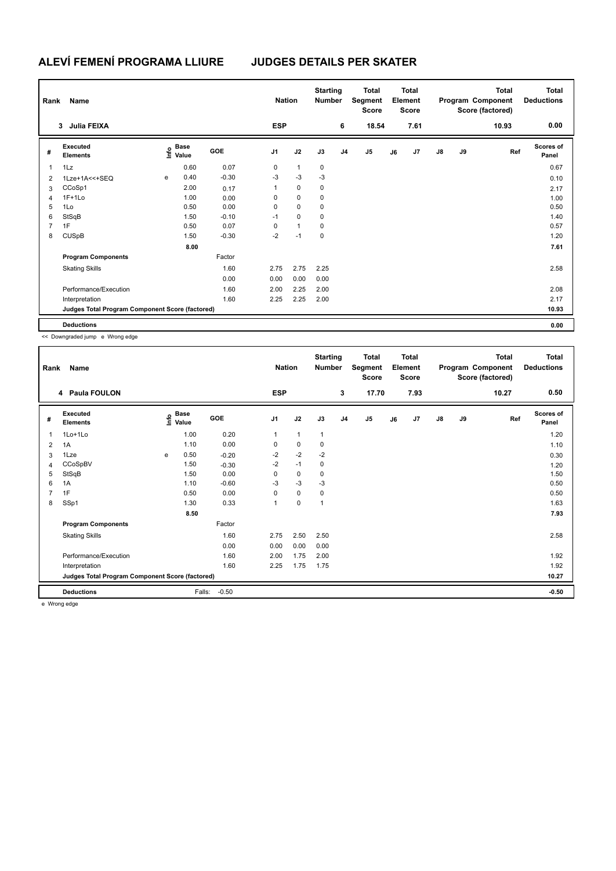| Rank           | Name                                            |   |                                  |         |                | <b>Nation</b> |             | <b>Starting</b><br><b>Number</b> | <b>Total</b><br><b>Total</b><br>Segment<br>Element<br><b>Score</b><br><b>Score</b> |    |      | <b>Total</b><br>Program Component<br>Score (factored) |    |       | <b>Total</b><br><b>Deductions</b> |
|----------------|-------------------------------------------------|---|----------------------------------|---------|----------------|---------------|-------------|----------------------------------|------------------------------------------------------------------------------------|----|------|-------------------------------------------------------|----|-------|-----------------------------------|
|                | Julia FEIXA<br>3                                |   |                                  |         | <b>ESP</b>     |               |             | 6                                | 18.54                                                                              |    | 7.61 |                                                       |    | 10.93 | 0.00                              |
| #              | Executed<br><b>Elements</b>                     |   | <b>Base</b><br>o Base<br>⊆ Value | GOE     | J <sub>1</sub> | J2            | J3          | J <sub>4</sub>                   | J <sub>5</sub>                                                                     | J6 | J7   | $\mathsf{J}8$                                         | J9 | Ref   | <b>Scores of</b><br>Panel         |
| 1              | 1Lz                                             |   | 0.60                             | 0.07    | 0              | $\mathbf{1}$  | 0           |                                  |                                                                                    |    |      |                                                       |    |       | 0.67                              |
| 2              | 1Lze+1A<<+SEQ                                   | e | 0.40                             | $-0.30$ | $-3$           | $-3$          | $-3$        |                                  |                                                                                    |    |      |                                                       |    |       | 0.10                              |
| 3              | CCoSp1                                          |   | 2.00                             | 0.17    | 1              | $\mathbf 0$   | 0           |                                  |                                                                                    |    |      |                                                       |    |       | 2.17                              |
| $\overline{4}$ | $1F+1Lo$                                        |   | 1.00                             | 0.00    | 0              | $\mathbf 0$   | $\mathbf 0$ |                                  |                                                                                    |    |      |                                                       |    |       | 1.00                              |
| 5              | 1Lo                                             |   | 0.50                             | 0.00    | 0              | $\mathbf 0$   | 0           |                                  |                                                                                    |    |      |                                                       |    |       | 0.50                              |
| 6              | StSqB                                           |   | 1.50                             | $-0.10$ | $-1$           | $\mathbf 0$   | 0           |                                  |                                                                                    |    |      |                                                       |    |       | 1.40                              |
| $\overline{7}$ | 1F                                              |   | 0.50                             | 0.07    | 0              | $\mathbf{1}$  | 0           |                                  |                                                                                    |    |      |                                                       |    |       | 0.57                              |
| 8              | <b>CUSpB</b>                                    |   | 1.50                             | $-0.30$ | $-2$           | $-1$          | 0           |                                  |                                                                                    |    |      |                                                       |    |       | 1.20                              |
|                |                                                 |   | 8.00                             |         |                |               |             |                                  |                                                                                    |    |      |                                                       |    |       | 7.61                              |
|                | <b>Program Components</b>                       |   |                                  | Factor  |                |               |             |                                  |                                                                                    |    |      |                                                       |    |       |                                   |
|                | <b>Skating Skills</b>                           |   |                                  | 1.60    | 2.75           | 2.75          | 2.25        |                                  |                                                                                    |    |      |                                                       |    |       | 2.58                              |
|                |                                                 |   |                                  | 0.00    | 0.00           | 0.00          | 0.00        |                                  |                                                                                    |    |      |                                                       |    |       |                                   |
|                | Performance/Execution                           |   |                                  | 1.60    | 2.00           | 2.25          | 2.00        |                                  |                                                                                    |    |      |                                                       |    |       | 2.08                              |
|                | Interpretation                                  |   |                                  | 1.60    | 2.25           | 2.25          | 2.00        |                                  |                                                                                    |    |      |                                                       |    |       | 2.17                              |
|                | Judges Total Program Component Score (factored) |   |                                  |         |                |               |             |                                  |                                                                                    |    |      |                                                       |    |       | 10.93                             |
|                | <b>Deductions</b>                               |   |                                  |         |                |               |             |                                  |                                                                                    |    |      |                                                       |    |       | 0.00                              |

<< Downgraded jump e Wrong edge

| Rank           | Name                                            |   | <b>Nation</b>                    |         | <b>Starting</b><br><b>Number</b> | <b>Total</b><br>Segment<br><b>Score</b> | <b>Total</b><br>Element<br><b>Score</b> |                |                |    | <b>Total</b><br>Program Component<br>Score (factored) | <b>Total</b><br><b>Deductions</b> |    |       |                    |
|----------------|-------------------------------------------------|---|----------------------------------|---------|----------------------------------|-----------------------------------------|-----------------------------------------|----------------|----------------|----|-------------------------------------------------------|-----------------------------------|----|-------|--------------------|
|                | 4 Paula FOULON                                  |   |                                  |         | <b>ESP</b>                       |                                         |                                         | 3              | 17.70          |    | 7.93                                                  |                                   |    | 10.27 | 0.50               |
| #              | Executed<br><b>Elements</b>                     |   | <b>Base</b><br>e Base<br>E Value | GOE     | J <sub>1</sub>                   | J2                                      | J3                                      | J <sub>4</sub> | J <sub>5</sub> | J6 | J7                                                    | $\mathsf{J}8$                     | J9 | Ref   | Scores of<br>Panel |
| 1              | 1Lo+1Lo                                         |   | 1.00                             | 0.20    | 1                                | $\mathbf{1}$                            | $\mathbf{1}$                            |                |                |    |                                                       |                                   |    |       | 1.20               |
| $\overline{2}$ | 1A                                              |   | 1.10                             | 0.00    | 0                                | $\mathbf 0$                             | 0                                       |                |                |    |                                                       |                                   |    |       | 1.10               |
| 3              | 1Lze                                            | e | 0.50                             | $-0.20$ | $-2$                             | $-2$                                    | $-2$                                    |                |                |    |                                                       |                                   |    |       | 0.30               |
| 4              | CCoSpBV                                         |   | 1.50                             | $-0.30$ | $-2$                             | $-1$                                    | 0                                       |                |                |    |                                                       |                                   |    |       | 1.20               |
| 5              | StSqB                                           |   | 1.50                             | 0.00    | 0                                | $\pmb{0}$                               | 0                                       |                |                |    |                                                       |                                   |    |       | 1.50               |
| 6              | 1A                                              |   | 1.10                             | $-0.60$ | $-3$                             | $-3$                                    | $-3$                                    |                |                |    |                                                       |                                   |    |       | 0.50               |
| $\overline{7}$ | 1F                                              |   | 0.50                             | 0.00    | 0                                | $\mathbf 0$                             | $\mathbf 0$                             |                |                |    |                                                       |                                   |    |       | 0.50               |
| 8              | SSp1                                            |   | 1.30                             | 0.33    | 1                                | $\pmb{0}$                               | $\mathbf{1}$                            |                |                |    |                                                       |                                   |    |       | 1.63               |
|                |                                                 |   | 8.50                             |         |                                  |                                         |                                         |                |                |    |                                                       |                                   |    |       | 7.93               |
|                | <b>Program Components</b>                       |   |                                  | Factor  |                                  |                                         |                                         |                |                |    |                                                       |                                   |    |       |                    |
|                | <b>Skating Skills</b>                           |   |                                  | 1.60    | 2.75                             | 2.50                                    | 2.50                                    |                |                |    |                                                       |                                   |    |       | 2.58               |
|                |                                                 |   |                                  | 0.00    | 0.00                             | 0.00                                    | 0.00                                    |                |                |    |                                                       |                                   |    |       |                    |
|                | Performance/Execution                           |   |                                  | 1.60    | 2.00                             | 1.75                                    | 2.00                                    |                |                |    |                                                       |                                   |    |       | 1.92               |
|                | Interpretation                                  |   |                                  | 1.60    | 2.25                             | 1.75                                    | 1.75                                    |                |                |    |                                                       |                                   |    |       | 1.92               |
|                | Judges Total Program Component Score (factored) |   |                                  |         |                                  |                                         |                                         |                |                |    |                                                       |                                   |    |       | 10.27              |
|                | <b>Deductions</b>                               |   | Falls:                           | $-0.50$ |                                  |                                         |                                         |                |                |    |                                                       |                                   |    |       | $-0.50$            |

e Wrong edge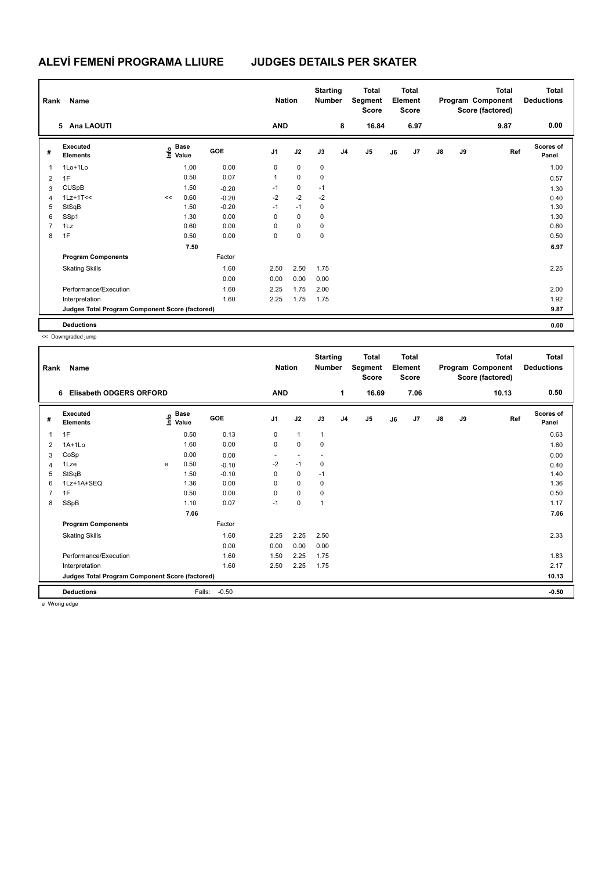|                | Rank<br>Name                                    |    |                                  |         |                | <b>Nation</b> |           | <b>Starting</b><br><b>Number</b> | Total<br>Segment<br><b>Score</b> |    | <b>Total</b><br>Element<br><b>Score</b> |               |    | <b>Total</b><br>Program Component<br>Score (factored) | <b>Total</b><br><b>Deductions</b> |
|----------------|-------------------------------------------------|----|----------------------------------|---------|----------------|---------------|-----------|----------------------------------|----------------------------------|----|-----------------------------------------|---------------|----|-------------------------------------------------------|-----------------------------------|
|                | 5 Ana LAOUTI                                    |    |                                  |         | <b>AND</b>     |               |           | 8                                | 16.84                            |    | 6.97                                    |               |    | 9.87                                                  | 0.00                              |
| #              | Executed<br><b>Elements</b>                     |    | <b>Base</b><br>o Base<br>⊆ Value | GOE     | J <sub>1</sub> | J2            | J3        | J <sub>4</sub>                   | J5                               | J6 | J <sub>7</sub>                          | $\mathsf{J}8$ | J9 | Ref                                                   | <b>Scores of</b><br>Panel         |
| 1              | 1Lo+1Lo                                         |    | 1.00                             | 0.00    | 0              | $\mathbf 0$   | $\pmb{0}$ |                                  |                                  |    |                                         |               |    |                                                       | 1.00                              |
| $\overline{2}$ | 1F                                              |    | 0.50                             | 0.07    | 1              | $\mathbf 0$   | 0         |                                  |                                  |    |                                         |               |    |                                                       | 0.57                              |
| 3              | <b>CUSpB</b>                                    |    | 1.50                             | $-0.20$ | $-1$           | $\mathbf 0$   | $-1$      |                                  |                                  |    |                                         |               |    |                                                       | 1.30                              |
| $\overline{4}$ | $1Lz+1T<<$                                      | << | 0.60                             | $-0.20$ | $-2$           | $-2$          | $-2$      |                                  |                                  |    |                                         |               |    |                                                       | 0.40                              |
| 5              | StSqB                                           |    | 1.50                             | $-0.20$ | $-1$           | $-1$          | 0         |                                  |                                  |    |                                         |               |    |                                                       | 1.30                              |
| 6              | SSp1                                            |    | 1.30                             | 0.00    | 0              | $\mathbf 0$   | 0         |                                  |                                  |    |                                         |               |    |                                                       | 1.30                              |
| $\overline{7}$ | 1Lz                                             |    | 0.60                             | 0.00    | 0              | $\mathbf 0$   | 0         |                                  |                                  |    |                                         |               |    |                                                       | 0.60                              |
| 8              | 1F                                              |    | 0.50                             | 0.00    | 0              | $\mathbf 0$   | 0         |                                  |                                  |    |                                         |               |    |                                                       | 0.50                              |
|                |                                                 |    | 7.50                             |         |                |               |           |                                  |                                  |    |                                         |               |    |                                                       | 6.97                              |
|                | <b>Program Components</b>                       |    |                                  | Factor  |                |               |           |                                  |                                  |    |                                         |               |    |                                                       |                                   |
|                | <b>Skating Skills</b>                           |    |                                  | 1.60    | 2.50           | 2.50          | 1.75      |                                  |                                  |    |                                         |               |    |                                                       | 2.25                              |
|                |                                                 |    |                                  | 0.00    | 0.00           | 0.00          | 0.00      |                                  |                                  |    |                                         |               |    |                                                       |                                   |
|                | Performance/Execution                           |    |                                  | 1.60    | 2.25           | 1.75          | 2.00      |                                  |                                  |    |                                         |               |    |                                                       | 2.00                              |
|                | Interpretation                                  |    |                                  | 1.60    | 2.25           | 1.75          | 1.75      |                                  |                                  |    |                                         |               |    |                                                       | 1.92                              |
|                | Judges Total Program Component Score (factored) |    |                                  |         |                |               |           |                                  |                                  |    |                                         |               |    |                                                       | 9.87                              |
|                | <b>Deductions</b>                               |    |                                  |         |                |               |           |                                  |                                  |    |                                         |               |    |                                                       | 0.00                              |

<< Downgraded jump

| Rank           | Name                                            |   | <b>Nation</b>                    |         | <b>Starting</b><br><b>Number</b> | <b>Total</b><br>Segment<br><b>Score</b> | <b>Total</b><br>Element<br><b>Score</b> |                |       |    | <b>Total</b><br>Program Component<br>Score (factored) | Total<br><b>Deductions</b> |    |       |                           |
|----------------|-------------------------------------------------|---|----------------------------------|---------|----------------------------------|-----------------------------------------|-----------------------------------------|----------------|-------|----|-------------------------------------------------------|----------------------------|----|-------|---------------------------|
|                | <b>Elisabeth ODGERS ORFORD</b><br>6             |   |                                  |         | <b>AND</b>                       |                                         |                                         | 1              | 16.69 |    | 7.06                                                  |                            |    | 10.13 | 0.50                      |
| #              | Executed<br><b>Elements</b>                     |   | <b>Base</b><br>e Base<br>⊆ Value | GOE     | J1                               | J2                                      | J3                                      | J <sub>4</sub> | J5    | J6 | J <sub>7</sub>                                        | $\mathsf{J}8$              | J9 | Ref   | <b>Scores of</b><br>Panel |
| 1              | 1F                                              |   | 0.50                             | 0.13    | 0                                | $\mathbf{1}$                            | $\mathbf{1}$                            |                |       |    |                                                       |                            |    |       | 0.63                      |
| 2              | $1A+1Lo$                                        |   | 1.60                             | 0.00    | 0                                | 0                                       | $\mathbf 0$                             |                |       |    |                                                       |                            |    |       | 1.60                      |
| 3              | CoSp                                            |   | 0.00                             | 0.00    | $\overline{\phantom{a}}$         |                                         |                                         |                |       |    |                                                       |                            |    |       | 0.00                      |
| $\overline{4}$ | 1Lze                                            | e | 0.50                             | $-0.10$ | $-2$                             | $-1$                                    | $\mathbf 0$                             |                |       |    |                                                       |                            |    |       | 0.40                      |
| 5              | StSqB                                           |   | 1.50                             | $-0.10$ | 0                                | 0                                       | $-1$                                    |                |       |    |                                                       |                            |    |       | 1.40                      |
| 6              | 1Lz+1A+SEQ                                      |   | 1.36                             | 0.00    | $\Omega$                         | $\Omega$                                | $\mathbf 0$                             |                |       |    |                                                       |                            |    |       | 1.36                      |
| $\overline{7}$ | 1F                                              |   | 0.50                             | 0.00    | 0                                | 0                                       | 0                                       |                |       |    |                                                       |                            |    |       | 0.50                      |
| 8              | SSpB                                            |   | 1.10                             | 0.07    | $-1$                             | 0                                       | $\mathbf 1$                             |                |       |    |                                                       |                            |    |       | 1.17                      |
|                |                                                 |   | 7.06                             |         |                                  |                                         |                                         |                |       |    |                                                       |                            |    |       | 7.06                      |
|                | <b>Program Components</b>                       |   |                                  | Factor  |                                  |                                         |                                         |                |       |    |                                                       |                            |    |       |                           |
|                | <b>Skating Skills</b>                           |   |                                  | 1.60    | 2.25                             | 2.25                                    | 2.50                                    |                |       |    |                                                       |                            |    |       | 2.33                      |
|                |                                                 |   |                                  | 0.00    | 0.00                             | 0.00                                    | 0.00                                    |                |       |    |                                                       |                            |    |       |                           |
|                | Performance/Execution                           |   |                                  | 1.60    | 1.50                             | 2.25                                    | 1.75                                    |                |       |    |                                                       |                            |    |       | 1.83                      |
|                | Interpretation                                  |   |                                  | 1.60    | 2.50                             | 2.25                                    | 1.75                                    |                |       |    |                                                       |                            |    |       | 2.17                      |
|                | Judges Total Program Component Score (factored) |   |                                  |         |                                  |                                         |                                         |                |       |    |                                                       |                            |    |       | 10.13                     |
|                | <b>Deductions</b><br>$\cdots$                   |   | Falls:                           | $-0.50$ |                                  |                                         |                                         |                |       |    |                                                       |                            |    |       | $-0.50$                   |

e Wrong edge